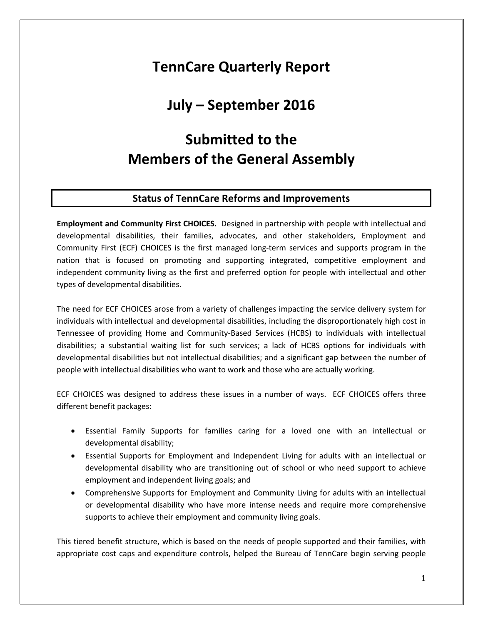# **TennCare Quarterly Report**

# **July – September 2016**

# **Submitted to the Members of the General Assembly**

#### **Status of TennCare Reforms and Improvements**

**Employment and Community First CHOICES.** Designed in partnership with people with intellectual and developmental disabilities, their families, advocates, and other stakeholders, Employment and Community First (ECF) CHOICES is the first managed long-term services and supports program in the nation that is focused on promoting and supporting integrated, competitive employment and independent community living as the first and preferred option for people with intellectual and other types of developmental disabilities.

The need for ECF CHOICES arose from a variety of challenges impacting the service delivery system for individuals with intellectual and developmental disabilities, including the disproportionately high cost in Tennessee of providing Home and Community-Based Services (HCBS) to individuals with intellectual disabilities; a substantial waiting list for such services; a lack of HCBS options for individuals with developmental disabilities but not intellectual disabilities; and a significant gap between the number of people with intellectual disabilities who want to work and those who are actually working.

ECF CHOICES was designed to address these issues in a number of ways. ECF CHOICES offers three different benefit packages:

- Essential Family Supports for families caring for a loved one with an intellectual or developmental disability;
- Essential Supports for Employment and Independent Living for adults with an intellectual or developmental disability who are transitioning out of school or who need support to achieve employment and independent living goals; and
- Comprehensive Supports for Employment and Community Living for adults with an intellectual or developmental disability who have more intense needs and require more comprehensive supports to achieve their employment and community living goals.

This tiered benefit structure, which is based on the needs of people supported and their families, with appropriate cost caps and expenditure controls, helped the Bureau of TennCare begin serving people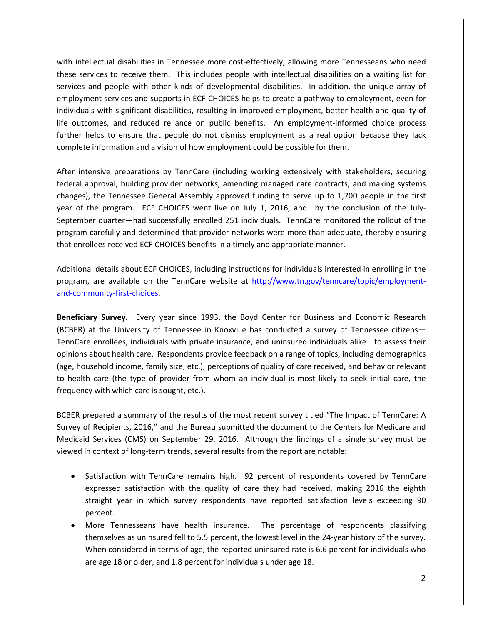with intellectual disabilities in Tennessee more cost-effectively, allowing more Tennesseans who need these services to receive them. This includes people with intellectual disabilities on a waiting list for services and people with other kinds of developmental disabilities. In addition, the unique array of employment services and supports in ECF CHOICES helps to create a pathway to employment, even for individuals with significant disabilities, resulting in improved employment, better health and quality of life outcomes, and reduced reliance on public benefits. An employment-informed choice process further helps to ensure that people do not dismiss employment as a real option because they lack complete information and a vision of how employment could be possible for them.

After intensive preparations by TennCare (including working extensively with stakeholders, securing federal approval, building provider networks, amending managed care contracts, and making systems changes), the Tennessee General Assembly approved funding to serve up to 1,700 people in the first year of the program. ECF CHOICES went live on July 1, 2016, and—by the conclusion of the July-September quarter—had successfully enrolled 251 individuals. TennCare monitored the rollout of the program carefully and determined that provider networks were more than adequate, thereby ensuring that enrollees received ECF CHOICES benefits in a timely and appropriate manner.

Additional details about ECF CHOICES, including instructions for individuals interested in enrolling in the program, are available on the TennCare website at [http://www.tn.gov/tenncare/topic/employment](http://www.tn.gov/tenncare/topic/employment-and-community-first-choices)[and-community-first-choices.](http://www.tn.gov/tenncare/topic/employment-and-community-first-choices)

**Beneficiary Survey.** Every year since 1993, the Boyd Center for Business and Economic Research (BCBER) at the University of Tennessee in Knoxville has conducted a survey of Tennessee citizens— TennCare enrollees, individuals with private insurance, and uninsured individuals alike—to assess their opinions about health care. Respondents provide feedback on a range of topics, including demographics (age, household income, family size, etc.), perceptions of quality of care received, and behavior relevant to health care (the type of provider from whom an individual is most likely to seek initial care, the frequency with which care is sought, etc.).

BCBER prepared a summary of the results of the most recent survey titled "The Impact of TennCare: A Survey of Recipients, 2016," and the Bureau submitted the document to the Centers for Medicare and Medicaid Services (CMS) on September 29, 2016. Although the findings of a single survey must be viewed in context of long-term trends, several results from the report are notable:

- Satisfaction with TennCare remains high. 92 percent of respondents covered by TennCare expressed satisfaction with the quality of care they had received, making 2016 the eighth straight year in which survey respondents have reported satisfaction levels exceeding 90 percent.
- More Tennesseans have health insurance. The percentage of respondents classifying themselves as uninsured fell to 5.5 percent, the lowest level in the 24-year history of the survey. When considered in terms of age, the reported uninsured rate is 6.6 percent for individuals who are age 18 or older, and 1.8 percent for individuals under age 18.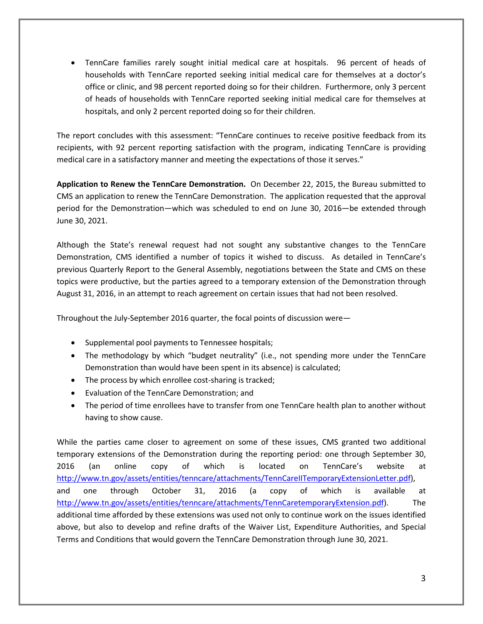• TennCare families rarely sought initial medical care at hospitals. 96 percent of heads of households with TennCare reported seeking initial medical care for themselves at a doctor's office or clinic, and 98 percent reported doing so for their children. Furthermore, only 3 percent of heads of households with TennCare reported seeking initial medical care for themselves at hospitals, and only 2 percent reported doing so for their children.

The report concludes with this assessment: "TennCare continues to receive positive feedback from its recipients, with 92 percent reporting satisfaction with the program, indicating TennCare is providing medical care in a satisfactory manner and meeting the expectations of those it serves."

**Application to Renew the TennCare Demonstration.** On December 22, 2015, the Bureau submitted to CMS an application to renew the TennCare Demonstration. The application requested that the approval period for the Demonstration—which was scheduled to end on June 30, 2016—be extended through June 30, 2021.

Although the State's renewal request had not sought any substantive changes to the TennCare Demonstration, CMS identified a number of topics it wished to discuss. As detailed in TennCare's previous Quarterly Report to the General Assembly, negotiations between the State and CMS on these topics were productive, but the parties agreed to a temporary extension of the Demonstration through August 31, 2016, in an attempt to reach agreement on certain issues that had not been resolved.

Throughout the July-September 2016 quarter, the focal points of discussion were—

- Supplemental pool payments to Tennessee hospitals;
- The methodology by which "budget neutrality" (i.e., not spending more under the TennCare Demonstration than would have been spent in its absence) is calculated;
- The process by which enrollee cost-sharing is tracked;
- Evaluation of the TennCare Demonstration; and
- The period of time enrollees have to transfer from one TennCare health plan to another without having to show cause.

While the parties came closer to agreement on some of these issues, CMS granted two additional temporary extensions of the Demonstration during the reporting period: one through September 30, 2016 (an online copy of which is located on TennCare's website at [http://www.tn.gov/assets/entities/tenncare/attachments/TennCareIITemporaryExtensionLetter.pdf\)](http://www.tn.gov/assets/entities/tenncare/attachments/TennCareIITemporaryExtensionLetter.pdf), and one through October 31, 2016 (a copy of which is available at [http://www.tn.gov/assets/entities/tenncare/attachments/TennCaretemporaryExtension.pdf\)](http://www.tn.gov/assets/entities/tenncare/attachments/TennCaretemporaryExtension.pdf). The additional time afforded by these extensions was used not only to continue work on the issues identified above, but also to develop and refine drafts of the Waiver List, Expenditure Authorities, and Special Terms and Conditions that would govern the TennCare Demonstration through June 30, 2021.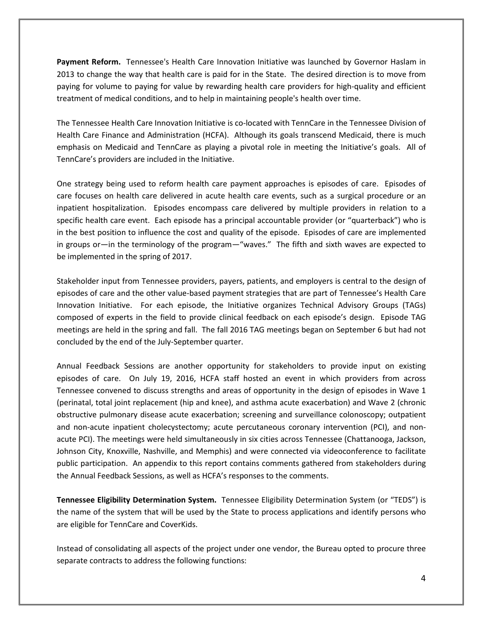**Payment Reform.** Tennessee's Health Care Innovation Initiative was launched by Governor Haslam in 2013 to change the way that health care is paid for in the State. The desired direction is to move from paying for volume to paying for value by rewarding health care providers for high-quality and efficient treatment of medical conditions, and to help in maintaining people's health over time.

The Tennessee Health Care Innovation Initiative is co-located with TennCare in the Tennessee Division of Health Care Finance and Administration (HCFA). Although its goals transcend Medicaid, there is much emphasis on Medicaid and TennCare as playing a pivotal role in meeting the Initiative's goals. All of TennCare's providers are included in the Initiative.

One strategy being used to reform health care payment approaches is episodes of care. Episodes of care focuses on health care delivered in acute health care events, such as a surgical procedure or an inpatient hospitalization. Episodes encompass care delivered by multiple providers in relation to a specific health care event. Each episode has a principal accountable provider (or "quarterback") who is in the best position to influence the cost and quality of the episode. Episodes of care are implemented in groups or—in the terminology of the program—"waves." The fifth and sixth waves are expected to be implemented in the spring of 2017.

Stakeholder input from Tennessee providers, payers, patients, and employers is central to the design of episodes of care and the other value-based payment strategies that are part of Tennessee's Health Care Innovation Initiative. For each episode, the Initiative organizes Technical Advisory Groups (TAGs) composed of experts in the field to provide clinical feedback on each episode's design. Episode TAG meetings are held in the spring and fall. The fall 2016 TAG meetings began on September 6 but had not concluded by the end of the July-September quarter.

Annual Feedback Sessions are another opportunity for stakeholders to provide input on existing episodes of care. On July 19, 2016, HCFA staff hosted an event in which providers from across Tennessee convened to discuss strengths and areas of opportunity in the design of episodes in Wave 1 (perinatal, total joint replacement (hip and knee), and asthma acute exacerbation) and Wave 2 (chronic obstructive pulmonary disease acute exacerbation; screening and surveillance colonoscopy; outpatient and non-acute inpatient cholecystectomy; acute percutaneous coronary intervention (PCI), and nonacute PCI). The meetings were held simultaneously in six cities across Tennessee (Chattanooga, Jackson, Johnson City, Knoxville, Nashville, and Memphis) and were connected via videoconference to facilitate public participation. An appendix to this report contains comments gathered from stakeholders during the Annual Feedback Sessions, as well as HCFA's responses to the comments.

**Tennessee Eligibility Determination System.** Tennessee Eligibility Determination System (or "TEDS") is the name of the system that will be used by the State to process applications and identify persons who are eligible for TennCare and CoverKids.

Instead of consolidating all aspects of the project under one vendor, the Bureau opted to procure three separate contracts to address the following functions: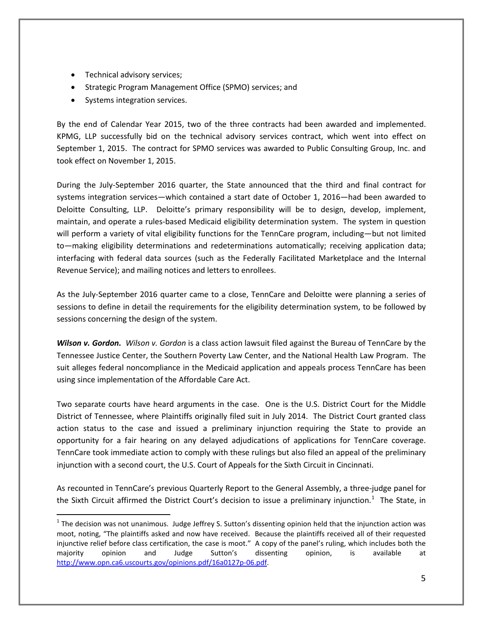- Technical advisory services;
- Strategic Program Management Office (SPMO) services; and
- Systems integration services.

 $\overline{a}$ 

By the end of Calendar Year 2015, two of the three contracts had been awarded and implemented. KPMG, LLP successfully bid on the technical advisory services contract, which went into effect on September 1, 2015. The contract for SPMO services was awarded to Public Consulting Group, Inc. and took effect on November 1, 2015.

During the July-September 2016 quarter, the State announced that the third and final contract for systems integration services—which contained a start date of October 1, 2016—had been awarded to Deloitte Consulting, LLP. Deloitte's primary responsibility will be to design, develop, implement, maintain, and operate a rules-based Medicaid eligibility determination system. The system in question will perform a variety of vital eligibility functions for the TennCare program, including—but not limited to—making eligibility determinations and redeterminations automatically; receiving application data; interfacing with federal data sources (such as the Federally Facilitated Marketplace and the Internal Revenue Service); and mailing notices and letters to enrollees.

As the July-September 2016 quarter came to a close, TennCare and Deloitte were planning a series of sessions to define in detail the requirements for the eligibility determination system, to be followed by sessions concerning the design of the system.

*Wilson v. Gordon. Wilson v. Gordon* is a class action lawsuit filed against the Bureau of TennCare by the Tennessee Justice Center, the Southern Poverty Law Center, and the National Health Law Program. The suit alleges federal noncompliance in the Medicaid application and appeals process TennCare has been using since implementation of the Affordable Care Act.

Two separate courts have heard arguments in the case. One is the U.S. District Court for the Middle District of Tennessee, where Plaintiffs originally filed suit in July 2014. The District Court granted class action status to the case and issued a preliminary injunction requiring the State to provide an opportunity for a fair hearing on any delayed adjudications of applications for TennCare coverage. TennCare took immediate action to comply with these rulings but also filed an appeal of the preliminary injunction with a second court, the U.S. Court of Appeals for the Sixth Circuit in Cincinnati.

As recounted in TennCare's previous Quarterly Report to the General Assembly, a three-judge panel for the Sixth Circuit affirmed the District Court's decision to issue a preliminary injunction.<sup>[1](#page-4-0)</sup> The State, in

<span id="page-4-0"></span> $1$  The decision was not unanimous. Judge Jeffrey S. Sutton's dissenting opinion held that the injunction action was moot, noting, "The plaintiffs asked and now have received. Because the plaintiffs received all of their requested injunctive relief before class certification, the case is moot." A copy of the panel's ruling, which includes both the majority opinion and Judge Sutton's dissenting opinion, is available at [http://www.opn.ca6.uscourts.gov/opinions.pdf/16a0127p-06.pdf.](http://www.opn.ca6.uscourts.gov/opinions.pdf/16a0127p-06.pdf)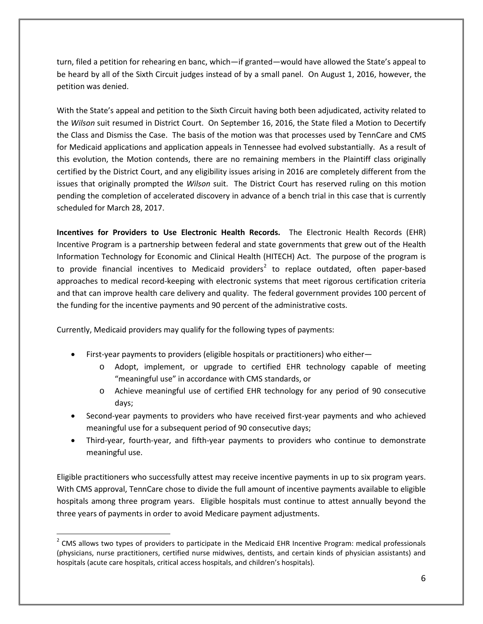turn, filed a petition for rehearing en banc, which—if granted—would have allowed the State's appeal to be heard by all of the Sixth Circuit judges instead of by a small panel. On August 1, 2016, however, the petition was denied.

With the State's appeal and petition to the Sixth Circuit having both been adjudicated, activity related to the *Wilson* suit resumed in District Court. On September 16, 2016, the State filed a Motion to Decertify the Class and Dismiss the Case. The basis of the motion was that processes used by TennCare and CMS for Medicaid applications and application appeals in Tennessee had evolved substantially. As a result of this evolution, the Motion contends, there are no remaining members in the Plaintiff class originally certified by the District Court, and any eligibility issues arising in 2016 are completely different from the issues that originally prompted the *Wilson* suit. The District Court has reserved ruling on this motion pending the completion of accelerated discovery in advance of a bench trial in this case that is currently scheduled for March 28, 2017.

**Incentives for Providers to Use Electronic Health Records.** The Electronic Health Records (EHR) Incentive Program is a partnership between federal and state governments that grew out of the Health Information Technology for Economic and Clinical Health (HITECH) Act. The purpose of the program is to provide financial incentives to Medicaid providers<sup>[2](#page-5-0)</sup> to replace outdated, often paper-based approaches to medical record-keeping with electronic systems that meet rigorous certification criteria and that can improve health care delivery and quality. The federal government provides 100 percent of the funding for the incentive payments and 90 percent of the administrative costs.

Currently, Medicaid providers may qualify for the following types of payments:

- First-year payments to providers (eligible hospitals or practitioners) who either
	- o Adopt, implement, or upgrade to certified EHR technology capable of meeting "meaningful use" in accordance with CMS standards, or
	- o Achieve meaningful use of certified EHR technology for any period of 90 consecutive days;
- Second-year payments to providers who have received first-year payments and who achieved meaningful use for a subsequent period of 90 consecutive days;
- Third-year, fourth-year, and fifth-year payments to providers who continue to demonstrate meaningful use.

Eligible practitioners who successfully attest may receive incentive payments in up to six program years. With CMS approval, TennCare chose to divide the full amount of incentive payments available to eligible hospitals among three program years. Eligible hospitals must continue to attest annually beyond the three years of payments in order to avoid Medicare payment adjustments.

<span id="page-5-0"></span> $2$  CMS allows two types of providers to participate in the Medicaid EHR Incentive Program: medical professionals (physicians, nurse practitioners, certified nurse midwives, dentists, and certain kinds of physician assistants) and hospitals (acute care hospitals, critical access hospitals, and children's hospitals).  $\overline{a}$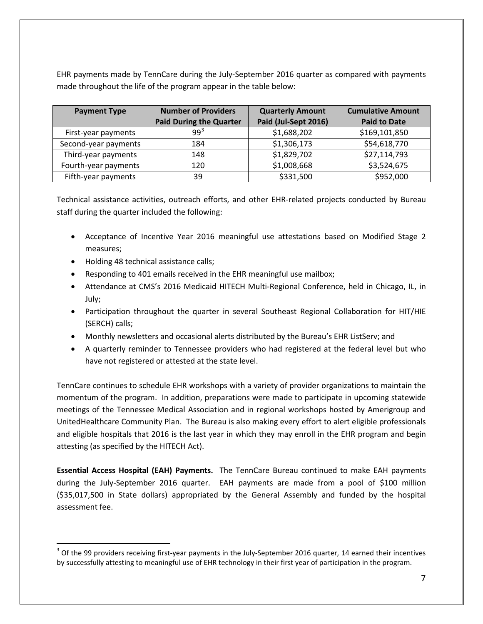EHR payments made by TennCare during the July-September 2016 quarter as compared with payments made throughout the life of the program appear in the table below:

| <b>Payment Type</b>  | <b>Number of Providers</b>     | <b>Quarterly Amount</b> | <b>Cumulative Amount</b> |
|----------------------|--------------------------------|-------------------------|--------------------------|
|                      | <b>Paid During the Quarter</b> | Paid (Jul-Sept 2016)    | <b>Paid to Date</b>      |
| First-year payments  | 99 <sup>3</sup>                | \$1,688,202             | \$169,101,850            |
| Second-year payments | 184                            | \$1,306,173             | \$54,618,770             |
| Third-year payments  | 148                            | \$1,829,702             | \$27,114,793             |
| Fourth-year payments | 120                            | \$1,008,668             | \$3,524,675              |
| Fifth-year payments  | 39                             | \$331,500               | \$952,000                |

Technical assistance activities, outreach efforts, and other EHR-related projects conducted by Bureau staff during the quarter included the following:

- Acceptance of Incentive Year 2016 meaningful use attestations based on Modified Stage 2 measures;
- Holding 48 technical assistance calls;

 $\overline{a}$ 

- Responding to 401 emails received in the EHR meaningful use mailbox;
- Attendance at CMS's 2016 Medicaid HITECH Multi-Regional Conference, held in Chicago, IL, in July;
- Participation throughout the quarter in several Southeast Regional Collaboration for HIT/HIE (SERCH) calls;
- Monthly newsletters and occasional alerts distributed by the Bureau's EHR ListServ; and
- A quarterly reminder to Tennessee providers who had registered at the federal level but who have not registered or attested at the state level.

TennCare continues to schedule EHR workshops with a variety of provider organizations to maintain the momentum of the program. In addition, preparations were made to participate in upcoming statewide meetings of the Tennessee Medical Association and in regional workshops hosted by Amerigroup and UnitedHealthcare Community Plan. The Bureau is also making every effort to alert eligible professionals and eligible hospitals that 2016 is the last year in which they may enroll in the EHR program and begin attesting (as specified by the HITECH Act).

**Essential Access Hospital (EAH) Payments.** The TennCare Bureau continued to make EAH payments during the July-September 2016 quarter. EAH payments are made from a pool of \$100 million (\$35,017,500 in State dollars) appropriated by the General Assembly and funded by the hospital assessment fee.

<span id="page-6-0"></span> $3$  Of the 99 providers receiving first-year payments in the July-September 2016 quarter, 14 earned their incentives by successfully attesting to meaningful use of EHR technology in their first year of participation in the program.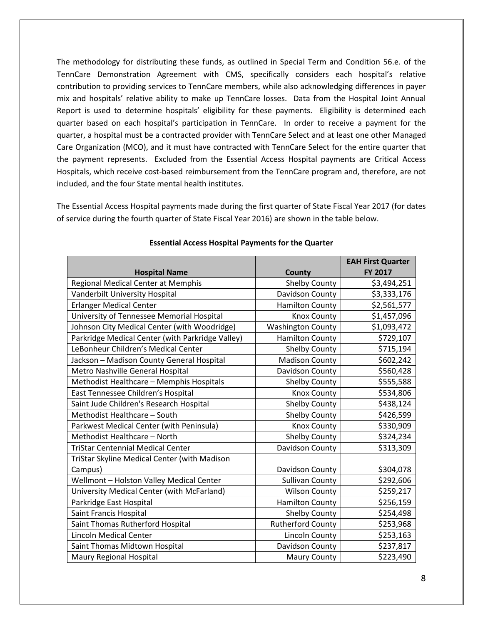The methodology for distributing these funds, as outlined in Special Term and Condition 56.e. of the TennCare Demonstration Agreement with CMS, specifically considers each hospital's relative contribution to providing services to TennCare members, while also acknowledging differences in payer mix and hospitals' relative ability to make up TennCare losses. Data from the Hospital Joint Annual Report is used to determine hospitals' eligibility for these payments. Eligibility is determined each quarter based on each hospital's participation in TennCare. In order to receive a payment for the quarter, a hospital must be a contracted provider with TennCare Select and at least one other Managed Care Organization (MCO), and it must have contracted with TennCare Select for the entire quarter that the payment represents. Excluded from the Essential Access Hospital payments are Critical Access Hospitals, which receive cost-based reimbursement from the TennCare program and, therefore, are not included, and the four State mental health institutes.

The Essential Access Hospital payments made during the first quarter of State Fiscal Year 2017 (for dates of service during the fourth quarter of State Fiscal Year 2016) are shown in the table below.

|                                                  |                          | <b>EAH First Quarter</b> |
|--------------------------------------------------|--------------------------|--------------------------|
| <b>Hospital Name</b>                             | <b>County</b>            | FY 2017                  |
| <b>Regional Medical Center at Memphis</b>        | <b>Shelby County</b>     | \$3,494,251              |
| Vanderbilt University Hospital                   | Davidson County          | \$3,333,176              |
| <b>Erlanger Medical Center</b>                   | <b>Hamilton County</b>   | \$2,561,577              |
| University of Tennessee Memorial Hospital        | <b>Knox County</b>       | \$1,457,096              |
| Johnson City Medical Center (with Woodridge)     | <b>Washington County</b> | \$1,093,472              |
| Parkridge Medical Center (with Parkridge Valley) | <b>Hamilton County</b>   | \$729,107                |
| LeBonheur Children's Medical Center              | Shelby County            | \$715,194                |
| Jackson - Madison County General Hospital        | <b>Madison County</b>    | \$602,242                |
| Metro Nashville General Hospital                 | Davidson County          | \$560,428                |
| Methodist Healthcare - Memphis Hospitals         | Shelby County            | \$555,588                |
| East Tennessee Children's Hospital               | <b>Knox County</b>       | \$534,806                |
| Saint Jude Children's Research Hospital          | Shelby County            | \$438,124                |
| Methodist Healthcare - South                     | <b>Shelby County</b>     | \$426,599                |
| Parkwest Medical Center (with Peninsula)         | <b>Knox County</b>       | \$330,909                |
| Methodist Healthcare - North                     | Shelby County            | \$324,234                |
| <b>TriStar Centennial Medical Center</b>         | Davidson County          | \$313,309                |
| TriStar Skyline Medical Center (with Madison     |                          |                          |
| Campus)                                          | Davidson County          | \$304,078                |
| Wellmont - Holston Valley Medical Center         | <b>Sullivan County</b>   | \$292,606                |
| University Medical Center (with McFarland)       | <b>Wilson County</b>     | \$259,217                |
| Parkridge East Hospital                          | <b>Hamilton County</b>   | \$256,159                |
| Saint Francis Hospital                           | <b>Shelby County</b>     | \$254,498                |
| Saint Thomas Rutherford Hospital                 | <b>Rutherford County</b> | \$253,968                |
| <b>Lincoln Medical Center</b>                    | Lincoln County           | \$253,163                |
| Saint Thomas Midtown Hospital                    | Davidson County          | \$237,817                |
| Maury Regional Hospital                          | <b>Maury County</b>      | \$223,490                |

#### **Essential Access Hospital Payments for the Quarter**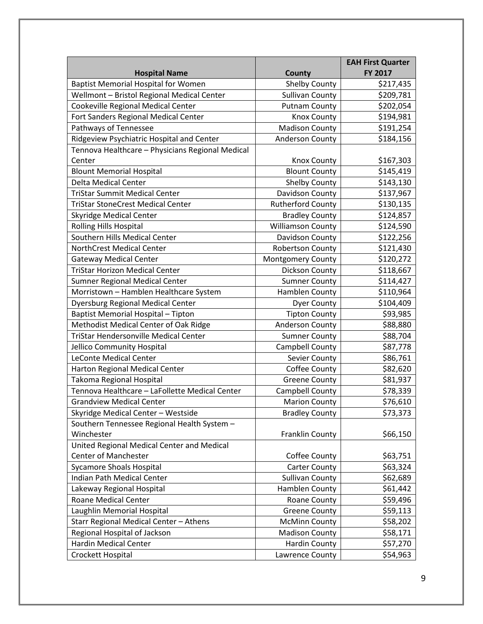|                                                  |                          | <b>EAH First Quarter</b> |
|--------------------------------------------------|--------------------------|--------------------------|
| <b>Hospital Name</b>                             | County                   | FY 2017                  |
| <b>Baptist Memorial Hospital for Women</b>       | <b>Shelby County</b>     | \$217,435                |
| Wellmont - Bristol Regional Medical Center       | <b>Sullivan County</b>   | \$209,781                |
| Cookeville Regional Medical Center               | <b>Putnam County</b>     | \$202,054                |
| Fort Sanders Regional Medical Center             | Knox County              | \$194,981                |
| Pathways of Tennessee                            | <b>Madison County</b>    | \$191,254                |
| Ridgeview Psychiatric Hospital and Center        | <b>Anderson County</b>   | \$184,156                |
| Tennova Healthcare - Physicians Regional Medical |                          |                          |
| Center                                           | Knox County              | \$167,303                |
| <b>Blount Memorial Hospital</b>                  | <b>Blount County</b>     | \$145,419                |
| <b>Delta Medical Center</b>                      | Shelby County            | \$143,130                |
| <b>TriStar Summit Medical Center</b>             | Davidson County          | \$137,967                |
| <b>TriStar StoneCrest Medical Center</b>         | <b>Rutherford County</b> | \$130,135                |
| <b>Skyridge Medical Center</b>                   | <b>Bradley County</b>    | \$124,857                |
| <b>Rolling Hills Hospital</b>                    | <b>Williamson County</b> | \$124,590                |
| Southern Hills Medical Center                    | Davidson County          | \$122,256                |
| <b>NorthCrest Medical Center</b>                 | <b>Robertson County</b>  | \$121,430                |
| <b>Gateway Medical Center</b>                    | <b>Montgomery County</b> | \$120,272                |
| <b>TriStar Horizon Medical Center</b>            | Dickson County           | \$118,667                |
| Sumner Regional Medical Center                   | <b>Sumner County</b>     | \$114,427                |
| Morristown - Hamblen Healthcare System           | Hamblen County           | \$110,964                |
| <b>Dyersburg Regional Medical Center</b>         | <b>Dyer County</b>       | \$104,409                |
| Baptist Memorial Hospital - Tipton               | <b>Tipton County</b>     | \$93,985                 |
| Methodist Medical Center of Oak Ridge            | Anderson County          | \$88,880                 |
| <b>TriStar Hendersonville Medical Center</b>     | <b>Sumner County</b>     | \$88,704                 |
| Jellico Community Hospital                       | Campbell County          | \$87,778                 |
| <b>LeConte Medical Center</b>                    | Sevier County            | \$86,761                 |
| Harton Regional Medical Center                   | Coffee County            | \$82,620                 |
| Takoma Regional Hospital                         | <b>Greene County</b>     | \$81,937                 |
| Tennova Healthcare - LaFollette Medical Center   | Campbell County          | \$78,339                 |
| <b>Grandview Medical Center</b>                  | <b>Marion County</b>     | \$76,610                 |
| Skyridge Medical Center - Westside               | <b>Bradley County</b>    | \$73,373                 |
| Southern Tennessee Regional Health System -      |                          |                          |
| Winchester                                       | Franklin County          | \$66,150                 |
| United Regional Medical Center and Medical       |                          |                          |
| Center of Manchester                             | Coffee County            | \$63,751                 |
| <b>Sycamore Shoals Hospital</b>                  | <b>Carter County</b>     | \$63,324                 |
| Indian Path Medical Center                       | <b>Sullivan County</b>   | \$62,689                 |
| Lakeway Regional Hospital                        | Hamblen County           | \$61,442                 |
| <b>Roane Medical Center</b>                      | Roane County             | \$59,496                 |
| Laughlin Memorial Hospital                       | <b>Greene County</b>     | \$59,113                 |
| Starr Regional Medical Center - Athens           | <b>McMinn County</b>     | \$58,202                 |
| Regional Hospital of Jackson                     | <b>Madison County</b>    | \$58,171                 |
| <b>Hardin Medical Center</b>                     | <b>Hardin County</b>     | \$57,270                 |
| Crockett Hospital                                | Lawrence County          | \$54,963                 |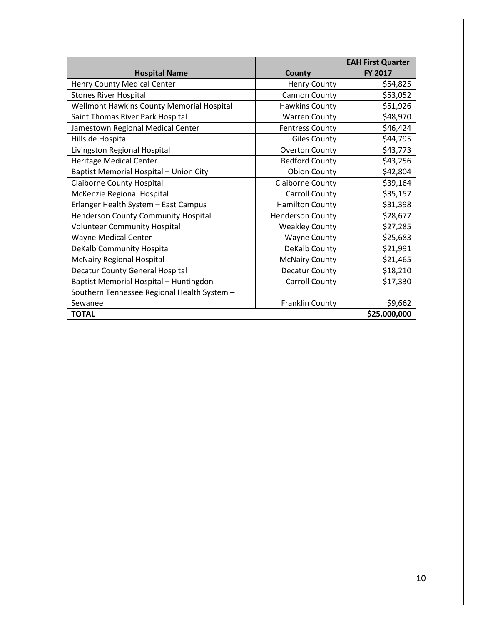|                                             |                         | <b>EAH First Quarter</b> |
|---------------------------------------------|-------------------------|--------------------------|
| <b>Hospital Name</b>                        | County                  | <b>FY 2017</b>           |
| Henry County Medical Center                 | <b>Henry County</b>     | \$54,825                 |
| <b>Stones River Hospital</b>                | Cannon County           | \$53,052                 |
| Wellmont Hawkins County Memorial Hospital   | Hawkins County          | \$51,926                 |
| Saint Thomas River Park Hospital            | <b>Warren County</b>    | \$48,970                 |
| Jamestown Regional Medical Center           | <b>Fentress County</b>  | \$46,424                 |
| Hillside Hospital                           | <b>Giles County</b>     | \$44,795                 |
| Livingston Regional Hospital                | <b>Overton County</b>   | \$43,773                 |
| <b>Heritage Medical Center</b>              | <b>Bedford County</b>   | \$43,256                 |
| Baptist Memorial Hospital - Union City      | <b>Obion County</b>     | \$42,804                 |
| <b>Claiborne County Hospital</b>            | Claiborne County        | \$39,164                 |
| McKenzie Regional Hospital                  | Carroll County          | \$35,157                 |
| Erlanger Health System - East Campus        | <b>Hamilton County</b>  | \$31,398                 |
| Henderson County Community Hospital         | <b>Henderson County</b> | \$28,677                 |
| <b>Volunteer Community Hospital</b>         | <b>Weakley County</b>   | \$27,285                 |
| Wayne Medical Center                        | <b>Wayne County</b>     | \$25,683                 |
| <b>DeKalb Community Hospital</b>            | DeKalb County           | \$21,991                 |
| <b>McNairy Regional Hospital</b>            | <b>McNairy County</b>   | \$21,465                 |
| <b>Decatur County General Hospital</b>      | Decatur County          | \$18,210                 |
| Baptist Memorial Hospital - Huntingdon      | <b>Carroll County</b>   | \$17,330                 |
| Southern Tennessee Regional Health System - |                         |                          |
| Sewanee                                     | Franklin County         | \$9,662                  |
| <b>TOTAL</b>                                |                         | \$25,000,000             |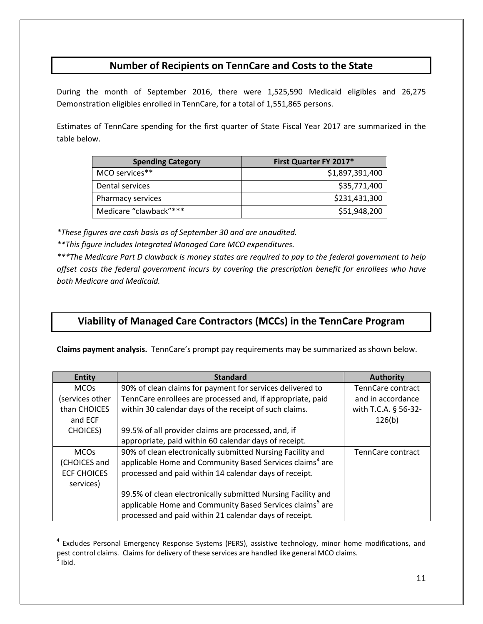#### **Number of Recipients on TennCare and Costs to the State**

During the month of September 2016, there were 1,525,590 Medicaid eligibles and 26,275 Demonstration eligibles enrolled in TennCare, for a total of 1,551,865 persons.

Estimates of TennCare spending for the first quarter of State Fiscal Year 2017 are summarized in the table below.

| <b>Spending Category</b> | First Quarter FY 2017* |
|--------------------------|------------------------|
| MCO services**           | \$1,897,391,400        |
| Dental services          | \$35,771,400           |
| Pharmacy services        | \$231,431,300          |
| Medicare "clawback"***   | \$51,948,200           |

*\*These figures are cash basis as of September 30 and are unaudited.*

*\*\*This figure includes Integrated Managed Care MCO expenditures.*

 $\overline{a}$ 

*\*\*\*The Medicare Part D clawback is money states are required to pay to the federal government to help offset costs the federal government incurs by covering the prescription benefit for enrollees who have both Medicare and Medicaid.*

#### **Viability of Managed Care Contractors (MCCs) in the TennCare Program**

**Claims payment analysis.** TennCare's prompt pay requirements may be summarized as shown below.

| <b>Entity</b>      | <b>Standard</b>                                                      | <b>Authority</b>     |
|--------------------|----------------------------------------------------------------------|----------------------|
| <b>MCOs</b>        | 90% of clean claims for payment for services delivered to            | TennCare contract    |
| (services other    | TennCare enrollees are processed and, if appropriate, paid           | and in accordance    |
| than CHOICES       | within 30 calendar days of the receipt of such claims.               | with T.C.A. § 56-32- |
| and ECF            |                                                                      | 126(b)               |
| <b>CHOICES</b> )   | 99.5% of all provider claims are processed, and, if                  |                      |
|                    | appropriate, paid within 60 calendar days of receipt.                |                      |
| <b>MCOs</b>        | 90% of clean electronically submitted Nursing Facility and           | TennCare contract    |
| (CHOICES and       | applicable Home and Community Based Services claims <sup>4</sup> are |                      |
| <b>ECF CHOICES</b> | processed and paid within 14 calendar days of receipt.               |                      |
| services)          |                                                                      |                      |
|                    | 99.5% of clean electronically submitted Nursing Facility and         |                      |
|                    | applicable Home and Community Based Services claims <sup>5</sup> are |                      |
|                    | processed and paid within 21 calendar days of receipt.               |                      |

<span id="page-10-1"></span><span id="page-10-0"></span><sup>&</sup>lt;sup>4</sup> Excludes Personal Emergency Response Systems (PERS), assistive technology, minor home modifications, and pest control claims. Claims for delivery of these services are handled like general MCO claims.  $<sup>5</sup>$  Ibid.</sup>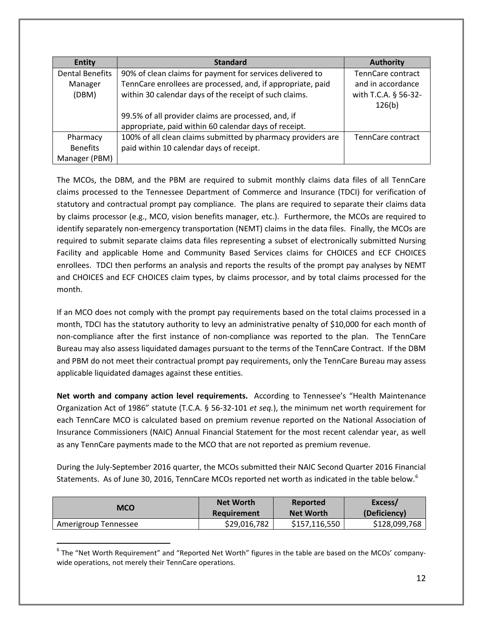| <b>Entity</b>          | <b>Standard</b>                                              | <b>Authority</b>               |
|------------------------|--------------------------------------------------------------|--------------------------------|
| <b>Dental Benefits</b> | 90% of clean claims for payment for services delivered to    | TennCare contract              |
| Manager                | TennCare enrollees are processed, and, if appropriate, paid  | and in accordance              |
| (DBM)                  | within 30 calendar days of the receipt of such claims.       | with T.C.A. § 56-32-<br>126(b) |
|                        | 99.5% of all provider claims are processed, and, if          |                                |
|                        | appropriate, paid within 60 calendar days of receipt.        |                                |
| Pharmacy               | 100% of all clean claims submitted by pharmacy providers are | TennCare contract              |
| <b>Benefits</b>        | paid within 10 calendar days of receipt.                     |                                |
| Manager (PBM)          |                                                              |                                |

The MCOs, the DBM, and the PBM are required to submit monthly claims data files of all TennCare claims processed to the Tennessee Department of Commerce and Insurance (TDCI) for verification of statutory and contractual prompt pay compliance. The plans are required to separate their claims data by claims processor (e.g., MCO, vision benefits manager, etc.). Furthermore, the MCOs are required to identify separately non-emergency transportation (NEMT) claims in the data files. Finally, the MCOs are required to submit separate claims data files representing a subset of electronically submitted Nursing Facility and applicable Home and Community Based Services claims for CHOICES and ECF CHOICES enrollees. TDCI then performs an analysis and reports the results of the prompt pay analyses by NEMT and CHOICES and ECF CHOICES claim types, by claims processor, and by total claims processed for the month.

If an MCO does not comply with the prompt pay requirements based on the total claims processed in a month, TDCI has the statutory authority to levy an administrative penalty of \$10,000 for each month of non-compliance after the first instance of non-compliance was reported to the plan. The TennCare Bureau may also assess liquidated damages pursuant to the terms of the TennCare Contract. If the DBM and PBM do not meet their contractual prompt pay requirements, only the TennCare Bureau may assess applicable liquidated damages against these entities.

**Net worth and company action level requirements.** According to Tennessee's "Health Maintenance Organization Act of 1986" statute (T.C.A. § 56-32-101 *et seq.*), the minimum net worth requirement for each TennCare MCO is calculated based on premium revenue reported on the National Association of Insurance Commissioners (NAIC) Annual Financial Statement for the most recent calendar year, as well as any TennCare payments made to the MCO that are not reported as premium revenue.

During the July-September 2016 quarter, the MCOs submitted their NAIC Second Quarter 2016 Financial Statements. As of June 30, 201[6](#page-11-0), TennCare MCOs reported net worth as indicated in the table below.<sup>6</sup>

| <b>MCO</b>           | <b>Net Worth</b> | Reported         | Excess/       |
|----------------------|------------------|------------------|---------------|
|                      | Requirement      | <b>Net Worth</b> | (Deficiency)  |
| Amerigroup Tennessee | \$29,016,782     | \$157,116,550    | \$128,099,768 |

<span id="page-11-0"></span> $6$  The "Net Worth Requirement" and "Reported Net Worth" figures in the table are based on the MCOs' companywide operations, not merely their TennCare operations.

 $\overline{a}$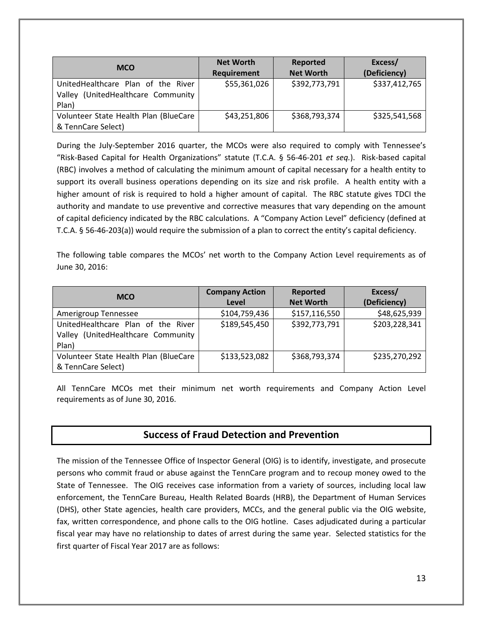| <b>MCO</b>                                                                        | <b>Net Worth</b><br>Requirement | Reported<br><b>Net Worth</b> | Excess/<br>(Deficiency) |
|-----------------------------------------------------------------------------------|---------------------------------|------------------------------|-------------------------|
| UnitedHealthcare Plan of the River<br>Valley (UnitedHealthcare Community<br>Plan) | \$55,361,026                    | \$392,773,791                | \$337,412,765           |
| Volunteer State Health Plan (BlueCare<br>& TennCare Select)                       | \$43,251,806                    | \$368,793,374                | \$325,541,568           |

During the July-September 2016 quarter, the MCOs were also required to comply with Tennessee's "Risk-Based Capital for Health Organizations" statute (T.C.A. § 56-46-201 *et seq.*). Risk-based capital (RBC) involves a method of calculating the minimum amount of capital necessary for a health entity to support its overall business operations depending on its size and risk profile. A health entity with a higher amount of risk is required to hold a higher amount of capital. The RBC statute gives TDCI the authority and mandate to use preventive and corrective measures that vary depending on the amount of capital deficiency indicated by the RBC calculations. A "Company Action Level" deficiency (defined at T.C.A. § 56-46-203(a)) would require the submission of a plan to correct the entity's capital deficiency.

The following table compares the MCOs' net worth to the Company Action Level requirements as of June 30, 2016:

| <b>MCO</b>                            | <b>Company Action</b> | Reported         | Excess/       |
|---------------------------------------|-----------------------|------------------|---------------|
|                                       | Level                 | <b>Net Worth</b> | (Deficiency)  |
| Amerigroup Tennessee                  | \$104,759,436         | \$157,116,550    | \$48,625,939  |
| UnitedHealthcare Plan of the River    | \$189,545,450         | \$392,773,791    | \$203,228,341 |
| Valley (UnitedHealthcare Community    |                       |                  |               |
| Plan)                                 |                       |                  |               |
| Volunteer State Health Plan (BlueCare | \$133,523,082         | \$368,793,374    | \$235,270,292 |
| & TennCare Select)                    |                       |                  |               |

All TennCare MCOs met their minimum net worth requirements and Company Action Level requirements as of June 30, 2016.

#### **Success of Fraud Detection and Prevention**

The mission of the Tennessee Office of Inspector General (OIG) is to identify, investigate, and prosecute persons who commit fraud or abuse against the TennCare program and to recoup money owed to the State of Tennessee.The OIG receives case information from a variety of sources, including local law enforcement, the TennCare Bureau, Health Related Boards (HRB), the Department of Human Services (DHS), other State agencies, health care providers, MCCs, and the general public via the OIG website, fax, written correspondence, and phone calls to the OIG hotline. Cases adjudicated during a particular fiscal year may have no relationship to dates of arrest during the same year. Selected statistics for the first quarter of Fiscal Year 2017 are as follows: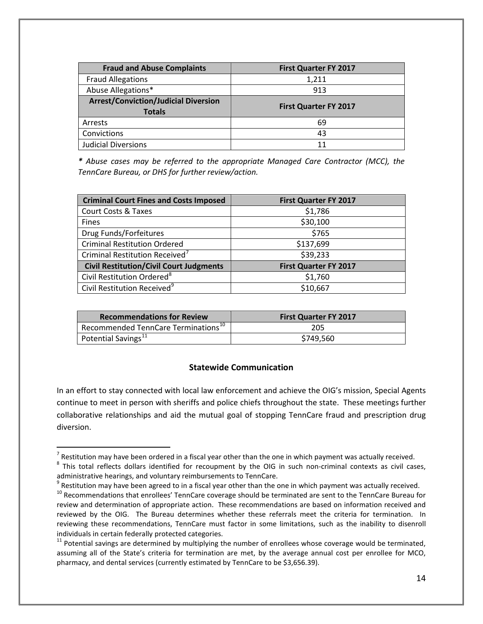| <b>Fraud and Abuse Complaints</b>                            | <b>First Quarter FY 2017</b> |
|--------------------------------------------------------------|------------------------------|
| <b>Fraud Allegations</b>                                     | 1,211                        |
| Abuse Allegations*                                           | 913                          |
| <b>Arrest/Conviction/Judicial Diversion</b><br><b>Totals</b> | <b>First Quarter FY 2017</b> |
| Arrests                                                      | 69                           |
| Convictions                                                  | 43                           |
| <b>Judicial Diversions</b>                                   |                              |

*\* Abuse cases may be referred to the appropriate Managed Care Contractor (MCC), the TennCare Bureau, or DHS for further review/action.*

| <b>Criminal Court Fines and Costs Imposed</b>  | <b>First Quarter FY 2017</b> |
|------------------------------------------------|------------------------------|
| Court Costs & Taxes                            | \$1,786                      |
| Fines                                          | \$30,100                     |
| Drug Funds/Forfeitures                         | \$765                        |
| <b>Criminal Restitution Ordered</b>            | \$137,699                    |
| Criminal Restitution Received <sup>7</sup>     | \$39,233                     |
| <b>Civil Restitution/Civil Court Judgments</b> | <b>First Quarter FY 2017</b> |
| Civil Restitution Ordered <sup>8</sup>         | \$1,760                      |
| Civil Restitution Received <sup>9</sup>        | \$10,667                     |

| <b>Recommendations for Review</b>                 | <b>First Quarter FY 2017</b> |
|---------------------------------------------------|------------------------------|
| Recommended TennCare Terminations <sup>10</sup> , | 205                          |
| Potential Savings <sup>11</sup>                   | \$749,560                    |

#### **Statewide Communication**

In an effort to stay connected with local law enforcement and achieve the OIG's mission, Special Agents continue to meet in person with sheriffs and police chiefs throughout the state. These meetings further collaborative relationships and aid the mutual goal of stopping TennCare fraud and prescription drug diversion.

 $\overline{a}$ 

<span id="page-13-0"></span> $<sup>7</sup>$  Restitution may have been ordered in a fiscal year other than the one in which payment was actually received.</sup>

<span id="page-13-1"></span> $8$  This total reflects dollars identified for recoupment by the OIG in such non-criminal contexts as civil cases, administrative hearings, and voluntary reimbursements to TennCare.

<span id="page-13-2"></span> $9$  Restitution may have been agreed to in a fiscal year other than the one in which payment was actually received.

<span id="page-13-3"></span><sup>&</sup>lt;sup>10</sup> Recommendations that enrollees' TennCare coverage should be terminated are sent to the TennCare Bureau for review and determination of appropriate action. These recommendations are based on information received and reviewed by the OIG. The Bureau determines whether these referrals meet the criteria for termination. In reviewing these recommendations, TennCare must factor in some limitations, such as the inability to disenroll individuals in certain federally protected categories.

<span id="page-13-4"></span> $11$  Potential savings are determined by multiplying the number of enrollees whose coverage would be terminated, assuming all of the State's criteria for termination are met, by the average annual cost per enrollee for MCO, pharmacy, and dental services (currently estimated by TennCare to be \$3,656.39).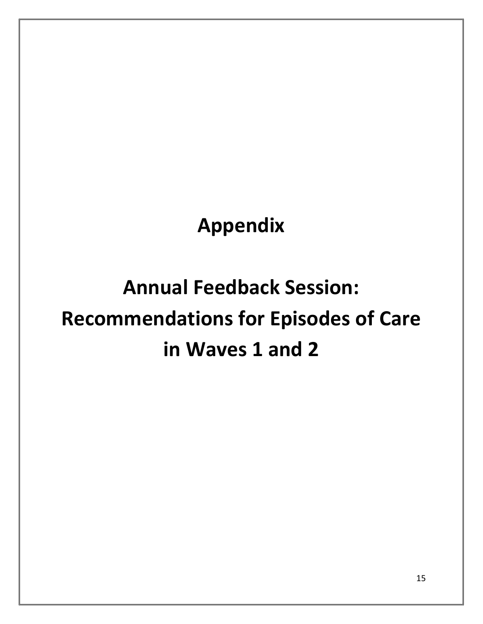**Appendix**

# **Annual Feedback Session: Recommendations for Episodes of Care in Waves 1 and 2**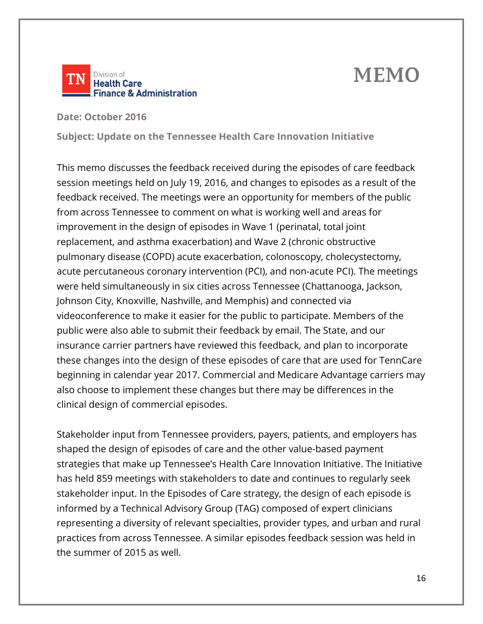# **MEMO**



**Date: October 2016** 

**Subject: Update on the Tennessee Health Care Innovation Initiative**

This memo discusses the feedback received during the episodes of care feedback session meetings held on July 19, 2016, and changes to episodes as a result of the feedback received. The meetings were an opportunity for members of the public from across Tennessee to comment on what is working well and areas for improvement in the design of episodes in Wave 1 (perinatal, total joint replacement, and asthma exacerbation) and Wave 2 (chronic obstructive pulmonary disease (COPD) acute exacerbation, colonoscopy, cholecystectomy, acute percutaneous coronary intervention (PCI), and non-acute PCI). The meetings were held simultaneously in six cities across Tennessee (Chattanooga, Jackson, Johnson City, Knoxville, Nashville, and Memphis) and connected via videoconference to make it easier for the public to participate. Members of the public were also able to submit their feedback by email. The State, and our insurance carrier partners have reviewed this feedback, and plan to incorporate these changes into the design of these episodes of care that are used for TennCare beginning in calendar year 2017. Commercial and Medicare Advantage carriers may also choose to implement these changes but there may be differences in the clinical design of commercial episodes.

Stakeholder input from Tennessee providers, payers, patients, and employers has shaped the design of episodes of care and the other value-based payment strategies that make up Tennessee's Health Care Innovation Initiative. The Initiative has held 859 meetings with stakeholders to date and continues to regularly seek stakeholder input. In the Episodes of Care strategy, the design of each episode is informed by a Technical Advisory Group (TAG) composed of expert clinicians representing a diversity of relevant specialties, provider types, and urban and rural practices from across Tennessee. A similar episodes feedback session was held in the summer of 2015 as well.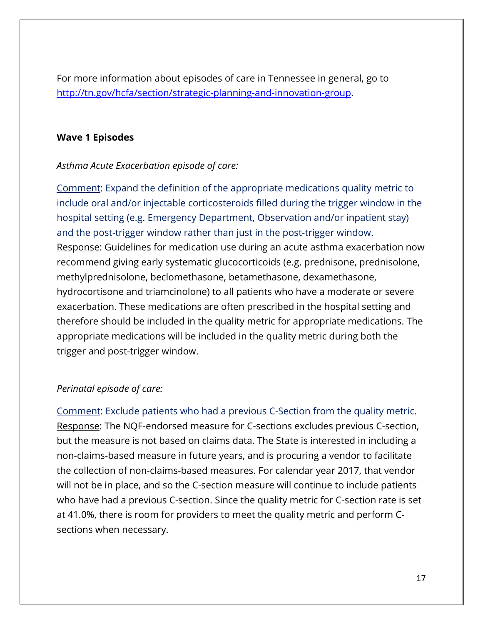For more information about episodes of care in Tennessee in general, go to [http://tn.gov/hcfa/section/strategic-planning-and-innovation-group.](http://tn.gov/hcfa/section/strategic-planning-and-innovation-group)

#### **Wave 1 Episodes**

#### *Asthma Acute Exacerbation episode of care:*

Comment: Expand the definition of the appropriate medications quality metric to include oral and/or injectable corticosteroids filled during the trigger window in the hospital setting (e.g. Emergency Department, Observation and/or inpatient stay) and the post-trigger window rather than just in the post-trigger window. Response: Guidelines for medication use during an acute asthma exacerbation now recommend giving early systematic glucocorticoids (e.g. prednisone, prednisolone, methylprednisolone, beclomethasone, betamethasone, dexamethasone, hydrocortisone and triamcinolone) to all patients who have a moderate or severe exacerbation. These medications are often prescribed in the hospital setting and therefore should be included in the quality metric for appropriate medications. The appropriate medications will be included in the quality metric during both the trigger and post-trigger window.

#### *Perinatal episode of care:*

Comment: Exclude patients who had a previous C-Section from the quality metric. Response: The NQF-endorsed measure for C-sections excludes previous C-section, but the measure is not based on claims data. The State is interested in including a non-claims-based measure in future years, and is procuring a vendor to facilitate the collection of non-claims-based measures. For calendar year 2017, that vendor will not be in place, and so the C-section measure will continue to include patients who have had a previous C-section. Since the quality metric for C-section rate is set at 41.0%, there is room for providers to meet the quality metric and perform Csections when necessary.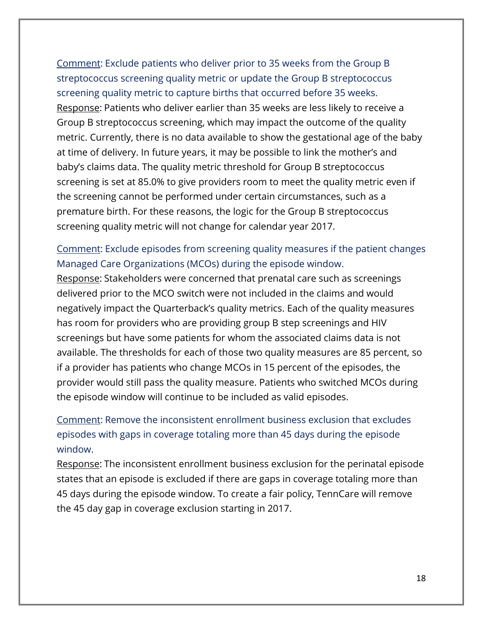Comment: Exclude patients who deliver prior to 35 weeks from the Group B streptococcus screening quality metric or update the Group B streptococcus screening quality metric to capture births that occurred before 35 weeks. Response: Patients who deliver earlier than 35 weeks are less likely to receive a Group B streptococcus screening, which may impact the outcome of the quality metric. Currently, there is no data available to show the gestational age of the baby at time of delivery. In future years, it may be possible to link the mother's and baby's claims data. The quality metric threshold for Group B streptococcus screening is set at 85.0% to give providers room to meet the quality metric even if the screening cannot be performed under certain circumstances, such as a premature birth. For these reasons, the logic for the Group B streptococcus screening quality metric will not change for calendar year 2017.

# Comment: Exclude episodes from screening quality measures if the patient changes Managed Care Organizations (MCOs) during the episode window.

Response: Stakeholders were concerned that prenatal care such as screenings delivered prior to the MCO switch were not included in the claims and would negatively impact the Quarterback's quality metrics. Each of the quality measures has room for providers who are providing group B step screenings and HIV screenings but have some patients for whom the associated claims data is not available. The thresholds for each of those two quality measures are 85 percent, so if a provider has patients who change MCOs in 15 percent of the episodes, the provider would still pass the quality measure. Patients who switched MCOs during the episode window will continue to be included as valid episodes.

# Comment: Remove the inconsistent enrollment business exclusion that excludes episodes with gaps in coverage totaling more than 45 days during the episode window.

Response: The inconsistent enrollment business exclusion for the perinatal episode states that an episode is excluded if there are gaps in coverage totaling more than 45 days during the episode window. To create a fair policy, TennCare will remove the 45 day gap in coverage exclusion starting in 2017.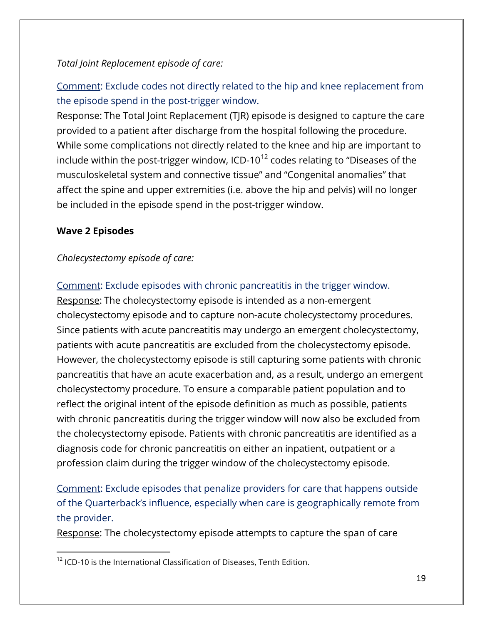### *Total Joint Replacement episode of care:*

Comment: Exclude codes not directly related to the hip and knee replacement from the episode spend in the post-trigger window.

Response: The Total Joint Replacement (TJR) episode is designed to capture the care provided to a patient after discharge from the hospital following the procedure. While some complications not directly related to the knee and hip are important to include within the post-trigger window, ICD-10<sup>[12](#page-18-0)</sup> codes relating to "Diseases of the musculoskeletal system and connective tissue" and "Congenital anomalies" that affect the spine and upper extremities (i.e. above the hip and pelvis) will no longer be included in the episode spend in the post-trigger window.

### **Wave 2 Episodes**

 $\overline{a}$ 

#### *Cholecystectomy episode of care:*

#### Comment: Exclude episodes with chronic pancreatitis in the trigger window.

Response: The cholecystectomy episode is intended as a non-emergent cholecystectomy episode and to capture non-acute cholecystectomy procedures. Since patients with acute pancreatitis may undergo an emergent cholecystectomy, patients with acute pancreatitis are excluded from the cholecystectomy episode. However, the cholecystectomy episode is still capturing some patients with chronic pancreatitis that have an acute exacerbation and, as a result, undergo an emergent cholecystectomy procedure. To ensure a comparable patient population and to reflect the original intent of the episode definition as much as possible, patients with chronic pancreatitis during the trigger window will now also be excluded from the cholecystectomy episode. Patients with chronic pancreatitis are identified as a diagnosis code for chronic pancreatitis on either an inpatient, outpatient or a profession claim during the trigger window of the cholecystectomy episode.

# Comment: Exclude episodes that penalize providers for care that happens outside of the Quarterback's influence, especially when care is geographically remote from the provider.

Response: The cholecystectomy episode attempts to capture the span of care

<span id="page-18-0"></span> $12$  ICD-10 is the International Classification of Diseases, Tenth Edition.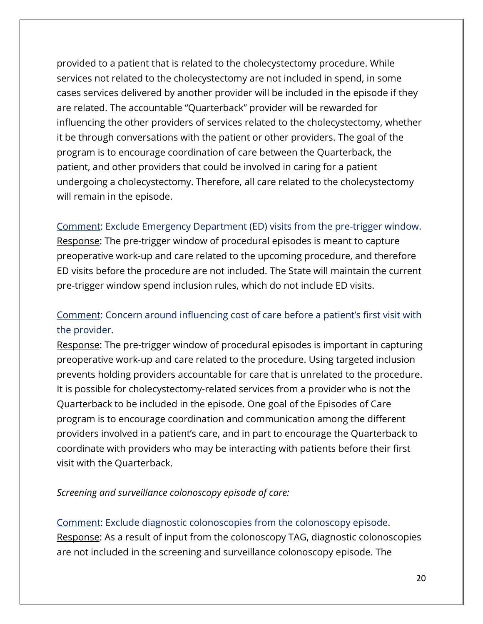provided to a patient that is related to the cholecystectomy procedure. While services not related to the cholecystectomy are not included in spend, in some cases services delivered by another provider will be included in the episode if they are related. The accountable "Quarterback" provider will be rewarded for influencing the other providers of services related to the cholecystectomy, whether it be through conversations with the patient or other providers. The goal of the program is to encourage coordination of care between the Quarterback, the patient, and other providers that could be involved in caring for a patient undergoing a cholecystectomy. Therefore, all care related to the cholecystectomy will remain in the episode.

### Comment: Exclude Emergency Department (ED) visits from the pre-trigger window.

Response: The pre-trigger window of procedural episodes is meant to capture preoperative work-up and care related to the upcoming procedure, and therefore ED visits before the procedure are not included. The State will maintain the current pre-trigger window spend inclusion rules, which do not include ED visits.

# Comment: Concern around influencing cost of care before a patient's first visit with the provider.

Response: The pre-trigger window of procedural episodes is important in capturing preoperative work-up and care related to the procedure. Using targeted inclusion prevents holding providers accountable for care that is unrelated to the procedure. It is possible for cholecystectomy-related services from a provider who is not the Quarterback to be included in the episode. One goal of the Episodes of Care program is to encourage coordination and communication among the different providers involved in a patient's care, and in part to encourage the Quarterback to coordinate with providers who may be interacting with patients before their first visit with the Quarterback.

#### *Screening and surveillance colonoscopy episode of care:*

Comment: Exclude diagnostic colonoscopies from the colonoscopy episode. Response: As a result of input from the colonoscopy TAG, diagnostic colonoscopies are not included in the screening and surveillance colonoscopy episode. The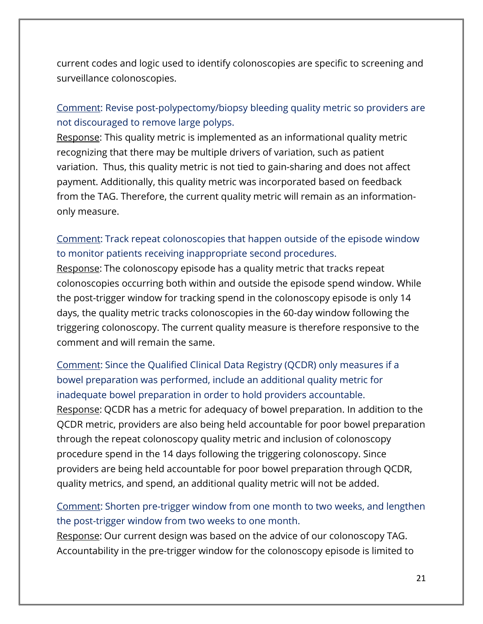current codes and logic used to identify colonoscopies are specific to screening and surveillance colonoscopies.

## Comment: Revise post-polypectomy/biopsy bleeding quality metric so providers are not discouraged to remove large polyps.

Response: This quality metric is implemented as an informational quality metric recognizing that there may be multiple drivers of variation, such as patient variation. Thus, this quality metric is not tied to gain-sharing and does not affect payment. Additionally, this quality metric was incorporated based on feedback from the TAG. Therefore, the current quality metric will remain as an informationonly measure.

## Comment: Track repeat colonoscopies that happen outside of the episode window to monitor patients receiving inappropriate second procedures.

Response: The colonoscopy episode has a quality metric that tracks repeat colonoscopies occurring both within and outside the episode spend window. While the post-trigger window for tracking spend in the colonoscopy episode is only 14 days, the quality metric tracks colonoscopies in the 60-day window following the triggering colonoscopy. The current quality measure is therefore responsive to the comment and will remain the same.

Comment: Since the Qualified Clinical Data Registry (QCDR) only measures if a bowel preparation was performed, include an additional quality metric for inadequate bowel preparation in order to hold providers accountable.

Response: QCDR has a metric for adequacy of bowel preparation. In addition to the QCDR metric, providers are also being held accountable for poor bowel preparation through the repeat colonoscopy quality metric and inclusion of colonoscopy procedure spend in the 14 days following the triggering colonoscopy. Since providers are being held accountable for poor bowel preparation through QCDR, quality metrics, and spend, an additional quality metric will not be added.

Comment: Shorten pre-trigger window from one month to two weeks, and lengthen the post-trigger window from two weeks to one month.

Response: Our current design was based on the advice of our colonoscopy TAG. Accountability in the pre-trigger window for the colonoscopy episode is limited to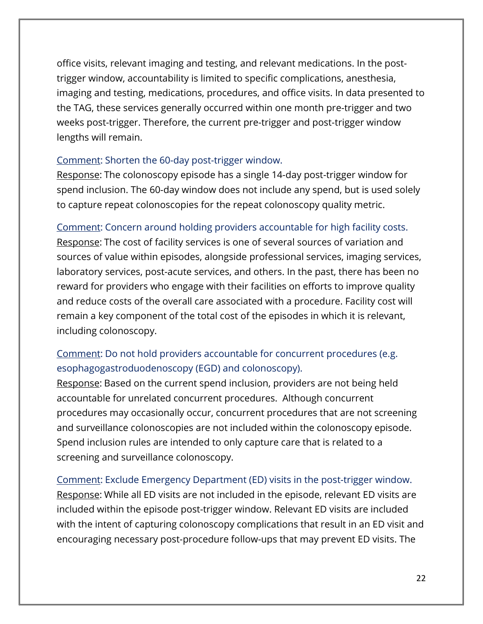office visits, relevant imaging and testing, and relevant medications. In the posttrigger window, accountability is limited to specific complications, anesthesia, imaging and testing, medications, procedures, and office visits. In data presented to the TAG, these services generally occurred within one month pre-trigger and two weeks post-trigger. Therefore, the current pre-trigger and post-trigger window lengths will remain.

#### Comment: Shorten the 60-day post-trigger window.

Response: The colonoscopy episode has a single 14-day post-trigger window for spend inclusion. The 60-day window does not include any spend, but is used solely to capture repeat colonoscopies for the repeat colonoscopy quality metric.

### Comment: Concern around holding providers accountable for high facility costs.

Response: The cost of facility services is one of several sources of variation and sources of value within episodes, alongside professional services, imaging services, laboratory services, post-acute services, and others. In the past, there has been no reward for providers who engage with their facilities on efforts to improve quality and reduce costs of the overall care associated with a procedure. Facility cost will remain a key component of the total cost of the episodes in which it is relevant, including colonoscopy.

# Comment: Do not hold providers accountable for concurrent procedures (e.g. esophagogastroduodenoscopy (EGD) and colonoscopy).

Response: Based on the current spend inclusion, providers are not being held accountable for unrelated concurrent procedures. Although concurrent procedures may occasionally occur, concurrent procedures that are not screening and surveillance colonoscopies are not included within the colonoscopy episode. Spend inclusion rules are intended to only capture care that is related to a screening and surveillance colonoscopy.

Comment: Exclude Emergency Department (ED) visits in the post-trigger window. Response: While all ED visits are not included in the episode, relevant ED visits are included within the episode post-trigger window. Relevant ED visits are included with the intent of capturing colonoscopy complications that result in an ED visit and encouraging necessary post-procedure follow-ups that may prevent ED visits. The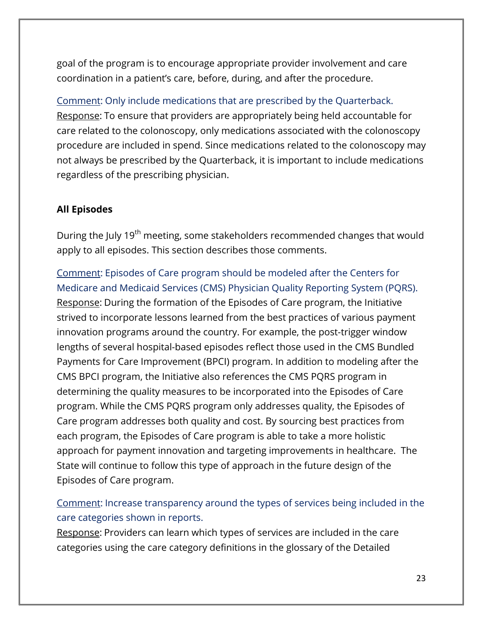goal of the program is to encourage appropriate provider involvement and care coordination in a patient's care, before, during, and after the procedure.

Comment: Only include medications that are prescribed by the Quarterback. Response: To ensure that providers are appropriately being held accountable for care related to the colonoscopy, only medications associated with the colonoscopy procedure are included in spend. Since medications related to the colonoscopy may not always be prescribed by the Quarterback, it is important to include medications regardless of the prescribing physician.

# **All Episodes**

During the July 19<sup>th</sup> meeting, some stakeholders recommended changes that would apply to all episodes. This section describes those comments.

Comment: Episodes of Care program should be modeled after the Centers for Medicare and Medicaid Services (CMS) Physician Quality Reporting System (PQRS). Response: During the formation of the Episodes of Care program, the Initiative strived to incorporate lessons learned from the best practices of various payment innovation programs around the country. For example, the post-trigger window lengths of several hospital-based episodes reflect those used in the CMS Bundled Payments for Care Improvement (BPCI) program. In addition to modeling after the CMS BPCI program, the Initiative also references the CMS PQRS program in determining the quality measures to be incorporated into the Episodes of Care program. While the CMS PQRS program only addresses quality, the Episodes of Care program addresses both quality and cost. By sourcing best practices from each program, the Episodes of Care program is able to take a more holistic approach for payment innovation and targeting improvements in healthcare. The State will continue to follow this type of approach in the future design of the Episodes of Care program.

# Comment: Increase transparency around the types of services being included in the care categories shown in reports.

Response: Providers can learn which types of services are included in the care categories using the care category definitions in the glossary of the Detailed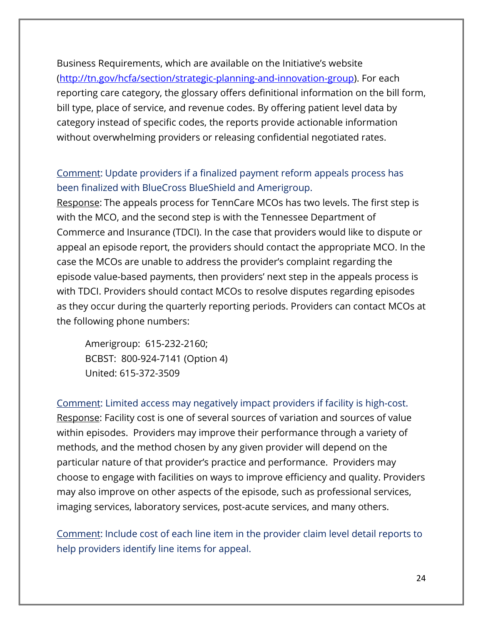Business Requirements, which are available on the Initiative's website [\(http://tn.gov/hcfa/section/strategic-planning-and-innovation-group\)](http://tn.gov/hcfa/section/strategic-planning-and-innovation-group). For each reporting care category, the glossary offers definitional information on the bill form, bill type, place of service, and revenue codes. By offering patient level data by category instead of specific codes, the reports provide actionable information without overwhelming providers or releasing confidential negotiated rates.

# Comment: Update providers if a finalized payment reform appeals process has been finalized with BlueCross BlueShield and Amerigroup.

Response: The appeals process for TennCare MCOs has two levels. The first step is with the MCO, and the second step is with the Tennessee Department of Commerce and Insurance (TDCI). In the case that providers would like to dispute or appeal an episode report, the providers should contact the appropriate MCO. In the case the MCOs are unable to address the provider's complaint regarding the episode value-based payments, then providers' next step in the appeals process is with TDCI. Providers should contact MCOs to resolve disputes regarding episodes as they occur during the quarterly reporting periods. Providers can contact MCOs at the following phone numbers:

Amerigroup: 615-232-2160; BCBST: 800-924-7141 (Option 4) United: 615-372-3509

Comment: Limited access may negatively impact providers if facility is high-cost. Response: Facility cost is one of several sources of variation and sources of value within episodes. Providers may improve their performance through a variety of methods, and the method chosen by any given provider will depend on the particular nature of that provider's practice and performance. Providers may choose to engage with facilities on ways to improve efficiency and quality. Providers may also improve on other aspects of the episode, such as professional services, imaging services, laboratory services, post-acute services, and many others.

Comment: Include cost of each line item in the provider claim level detail reports to help providers identify line items for appeal.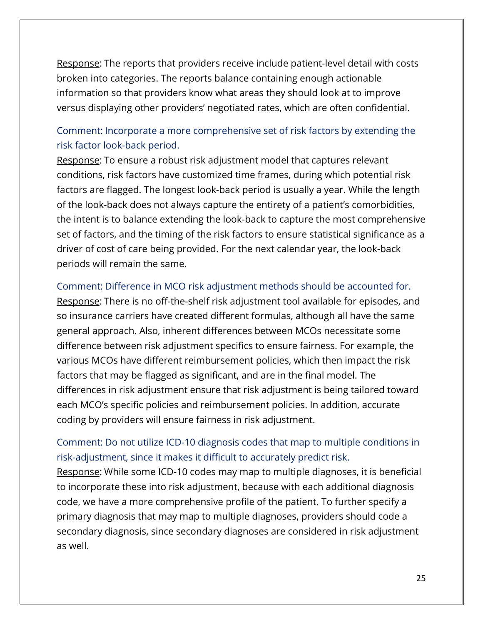Response: The reports that providers receive include patient-level detail with costs broken into categories. The reports balance containing enough actionable information so that providers know what areas they should look at to improve versus displaying other providers' negotiated rates, which are often confidential.

# Comment: Incorporate a more comprehensive set of risk factors by extending the risk factor look-back period.

Response: To ensure a robust risk adjustment model that captures relevant conditions, risk factors have customized time frames, during which potential risk factors are flagged. The longest look-back period is usually a year. While the length of the look-back does not always capture the entirety of a patient's comorbidities, the intent is to balance extending the look-back to capture the most comprehensive set of factors, and the timing of the risk factors to ensure statistical significance as a driver of cost of care being provided. For the next calendar year, the look-back periods will remain the same.

#### Comment: Difference in MCO risk adjustment methods should be accounted for.

Response: There is no off-the-shelf risk adjustment tool available for episodes, and so insurance carriers have created different formulas, although all have the same general approach. Also, inherent differences between MCOs necessitate some difference between risk adjustment specifics to ensure fairness. For example, the various MCOs have different reimbursement policies, which then impact the risk factors that may be flagged as significant, and are in the final model. The differences in risk adjustment ensure that risk adjustment is being tailored toward each MCO's specific policies and reimbursement policies. In addition, accurate coding by providers will ensure fairness in risk adjustment.

## Comment: Do not utilize ICD-10 diagnosis codes that map to multiple conditions in risk-adjustment, since it makes it difficult to accurately predict risk.

Response: While some ICD-10 codes may map to multiple diagnoses, it is beneficial to incorporate these into risk adjustment, because with each additional diagnosis code, we have a more comprehensive profile of the patient. To further specify a primary diagnosis that may map to multiple diagnoses, providers should code a secondary diagnosis, since secondary diagnoses are considered in risk adjustment as well.